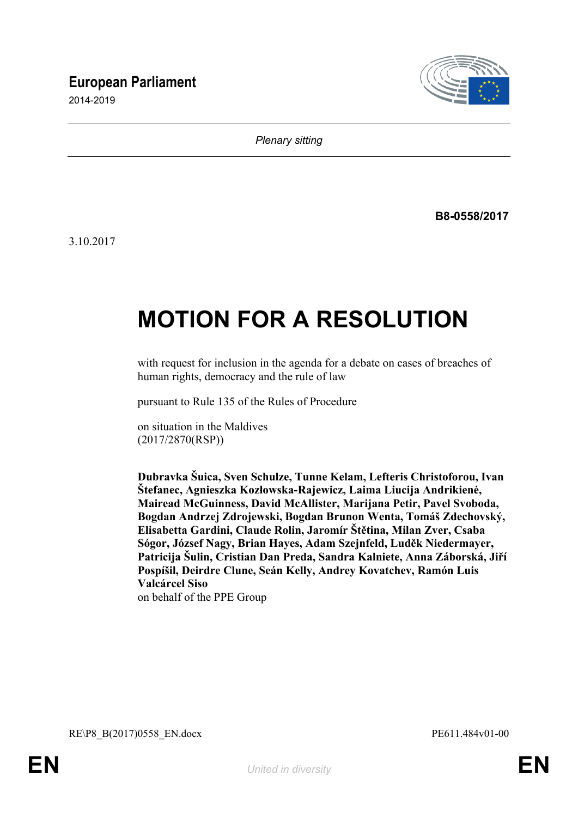# **European Parliament**

2014-2019



*Plenary sitting*

**B8-0558/2017**

3.10.2017

# **MOTION FOR A RESOLUTION**

with request for inclusion in the agenda for a debate on cases of breaches of human rights, democracy and the rule of law

pursuant to Rule 135 of the Rules of Procedure

on situation in the Maldives (2017/2870(RSP))

**Dubravka Šuica, Sven Schulze, Tunne Kelam, Lefteris Christoforou, Ivan Štefanec, Agnieszka Kozłowska-Rajewicz, Laima Liucija Andrikienė, Mairead McGuinness, David McAllister, Marijana Petir, Pavel Svoboda, Bogdan Andrzej Zdrojewski, Bogdan Brunon Wenta, Tomáš Zdechovský, Elisabetta Gardini, Claude Rolin, Jaromír Štětina, Milan Zver, Csaba Sógor, József Nagy, Brian Hayes, Adam Szejnfeld, Luděk Niedermayer, Patricija Šulin, Cristian Dan Preda, Sandra Kalniete, Anna Záborská, Jiří Pospíšil, Deirdre Clune, Seán Kelly, Andrey Kovatchev, Ramón Luis Valcárcel Siso** on behalf of the PPE Group

<span id="page-0-1"></span><span id="page-0-0"></span>RE\P8\_B(2017)0558\_EN.docx PE611.484v01-00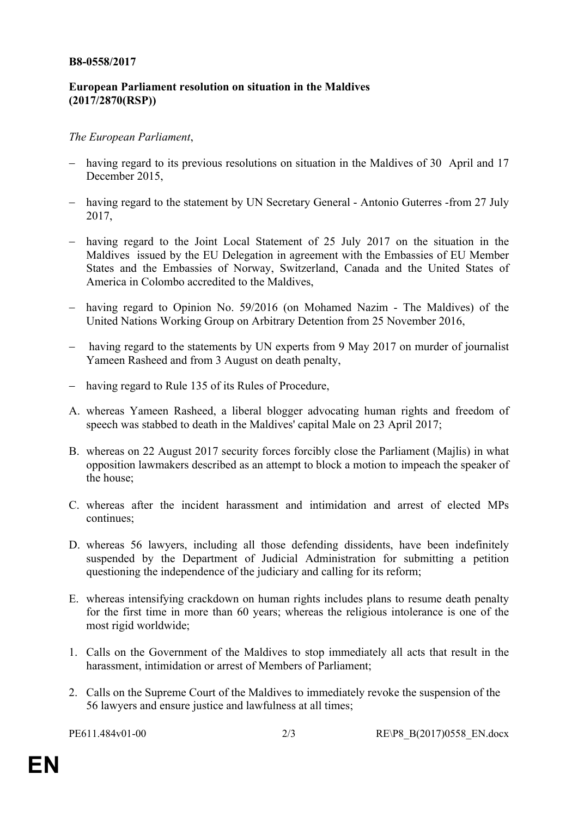#### **B8-0558/2017**

## **European Parliament resolution on situation in the Maldives (2017/2870(RSP))**

### *The European Parliament*,

- having regard to its previous resolutions on situation in the Maldives of 30 April and 17 December 2015,
- having regard to the statement by UN Secretary General Antonio Guterres -from 27 July 2017,
- having regard to the Joint Local Statement of 25 July 2017 on the situation in the Maldives issued by the EU Delegation in agreement with the Embassies of EU Member States and the Embassies of Norway, Switzerland, Canada and the United States of America in Colombo accredited to the Maldives,
- having regard to Opinion No. 59/2016 (on Mohamed Nazim The Maldives) of the United Nations Working Group on Arbitrary Detention from 25 November 2016,
- having regard to the statements by UN experts from 9 May 2017 on murder of journalist Yameen Rasheed and from 3 August on death penalty,
- having regard to Rule 135 of its Rules of Procedure,
- A. whereas Yameen Rasheed, a liberal blogger advocating human rights and freedom of speech was stabbed to death in the Maldives' capital Male on 23 April 2017;
- B. whereas on 22 August 2017 security forces forcibly close the Parliament (Majlis) in what opposition lawmakers described as an attempt to block a motion to impeach the speaker of the house;
- C. whereas after the incident harassment and intimidation and arrest of elected MPs continues;
- D. whereas 56 lawyers, including all those defending dissidents, have been indefinitely suspended by the Department of Judicial Administration for submitting a petition questioning the independence of the judiciary and calling for its reform;
- E. whereas intensifying crackdown on human rights includes plans to resume death penalty for the first time in more than 60 years; whereas the religious intolerance is one of the most rigid worldwide;
- 1. Calls on the Government of the Maldives to stop immediately all acts that result in the harassment, intimidation or arrest of Members of Parliament;
- 2. Calls on the Supreme Court of the Maldives to immediately revoke the suspension of the 56 lawyers and ensure justice and lawfulness at all times;